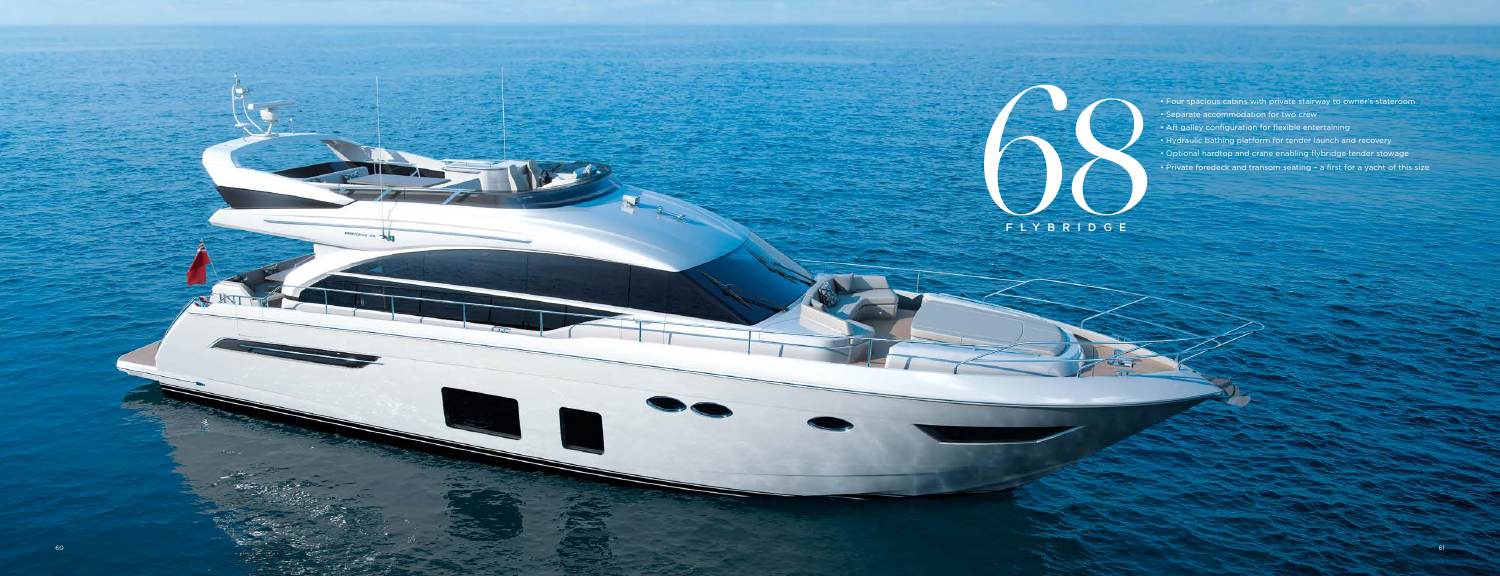



- Separate accommodation for two crew
- Aft galley configuration for flexible entertaining
- Hydraulic bathing platform for tender launch and recovery
- Optional hardtop and crane enabling flybridge tender stowage
- Private foredeck and transom seating a first for a yacht of this size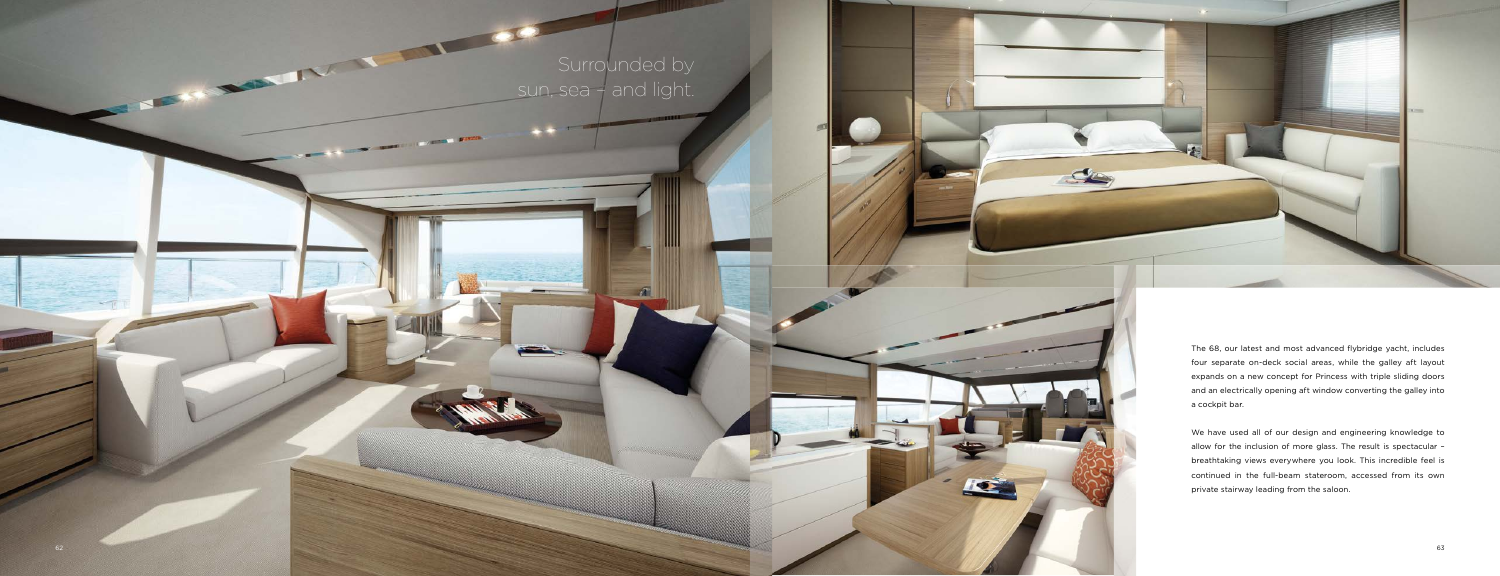# Surrounded by sun, sea – and light.

 $\mathcal{A}$ 

35.7

No. of Lot Hand